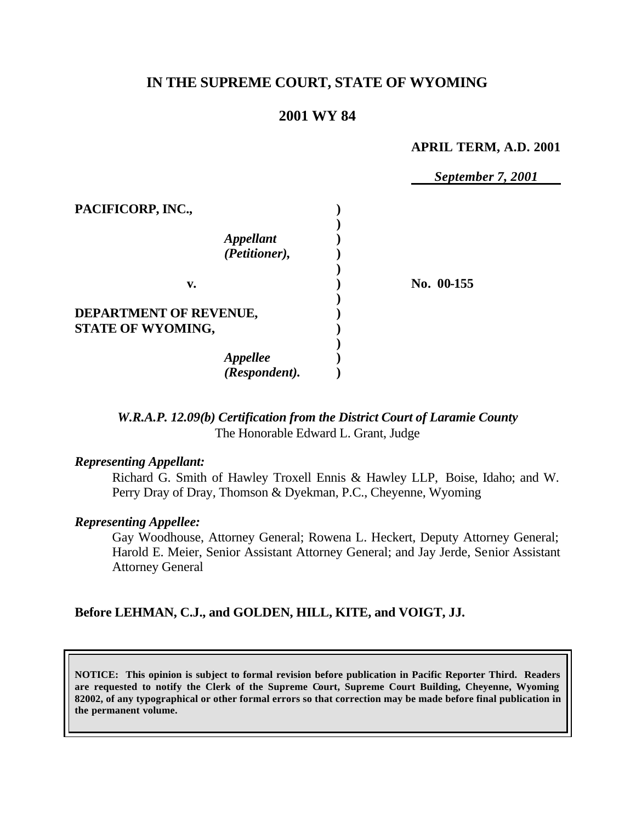# **IN THE SUPREME COURT, STATE OF WYOMING**

## **2001 WY 84**

#### **APRIL TERM, A.D. 2001**

*September 7, 2001*

| PACIFICORP, INC.,                        |            |
|------------------------------------------|------------|
| <i><b>Appellant</b></i><br>(Petitioner), |            |
| v.                                       | No. 00-155 |
| <b>DEPARTMENT OF REVENUE,</b>            |            |
| STATE OF WYOMING,                        |            |
| <b>Appellee</b>                          |            |
| (Respondent).                            |            |

## *W.R.A.P. 12.09(b) Certification from the District Court of Laramie County* The Honorable Edward L. Grant, Judge

#### *Representing Appellant:*

Richard G. Smith of Hawley Troxell Ennis & Hawley LLP, Boise, Idaho; and W. Perry Dray of Dray, Thomson & Dyekman, P.C., Cheyenne, Wyoming

#### *Representing Appellee:*

Gay Woodhouse, Attorney General; Rowena L. Heckert, Deputy Attorney General; Harold E. Meier, Senior Assistant Attorney General; and Jay Jerde, Senior Assistant Attorney General

## **Before LEHMAN, C.J., and GOLDEN, HILL, KITE, and VOIGT, JJ.**

**NOTICE: This opinion is subject to formal revision before publication in Pacific Reporter Third. Readers are requested to notify the Clerk of the Supreme Court, Supreme Court Building, Cheyenne, Wyoming 82002, of any typographical or other formal errors so that correction may be made before final publication in the permanent volume.**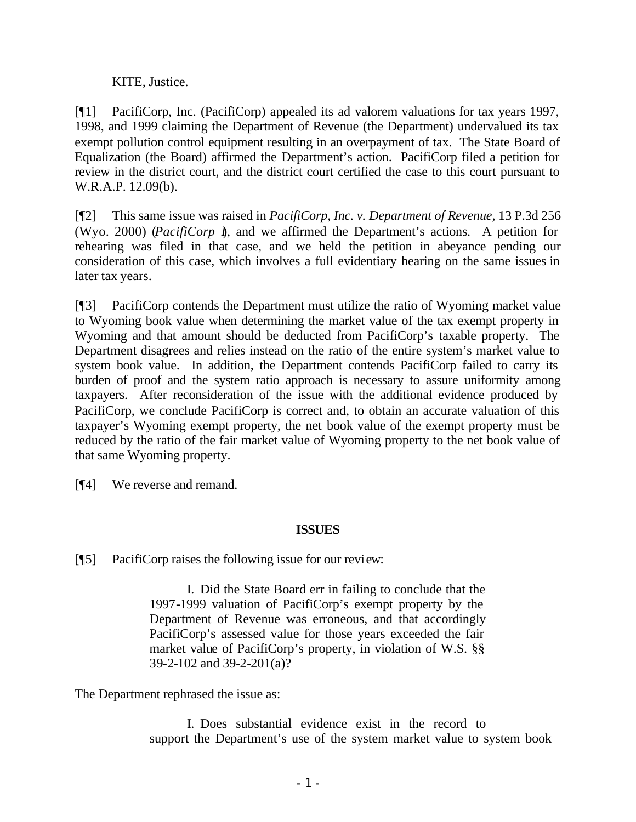KITE, Justice.

[¶1] PacifiCorp, Inc. (PacifiCorp) appealed its ad valorem valuations for tax years 1997, 1998, and 1999 claiming the Department of Revenue (the Department) undervalued its tax exempt pollution control equipment resulting in an overpayment of tax. The State Board of Equalization (the Board) affirmed the Department's action. PacifiCorp filed a petition for review in the district court, and the district court certified the case to this court pursuant to W.R.A.P. 12.09(b).

[¶2] This same issue was raised in *PacifiCorp, Inc. v. Department of Revenue,* 13 P.3d 256 (Wyo. 2000) (*PacifiCorp I*), and we affirmed the Department's actions. A petition for rehearing was filed in that case, and we held the petition in abeyance pending our consideration of this case, which involves a full evidentiary hearing on the same issues in later tax years.

[¶3] PacifiCorp contends the Department must utilize the ratio of Wyoming market value to Wyoming book value when determining the market value of the tax exempt property in Wyoming and that amount should be deducted from PacifiCorp's taxable property. The Department disagrees and relies instead on the ratio of the entire system's market value to system book value. In addition, the Department contends PacifiCorp failed to carry its burden of proof and the system ratio approach is necessary to assure uniformity among taxpayers. After reconsideration of the issue with the additional evidence produced by PacifiCorp, we conclude PacifiCorp is correct and, to obtain an accurate valuation of this taxpayer's Wyoming exempt property, the net book value of the exempt property must be reduced by the ratio of the fair market value of Wyoming property to the net book value of that same Wyoming property.

[¶4] We reverse and remand.

# **ISSUES**

[¶5] PacifiCorp raises the following issue for our review:

I. Did the State Board err in failing to conclude that the 1997-1999 valuation of PacifiCorp's exempt property by the Department of Revenue was erroneous, and that accordingly PacifiCorp's assessed value for those years exceeded the fair market value of PacifiCorp's property, in violation of W.S. §§ 39-2-102 and 39-2-201(a)?

The Department rephrased the issue as:

I. Does substantial evidence exist in the record to support the Department's use of the system market value to system book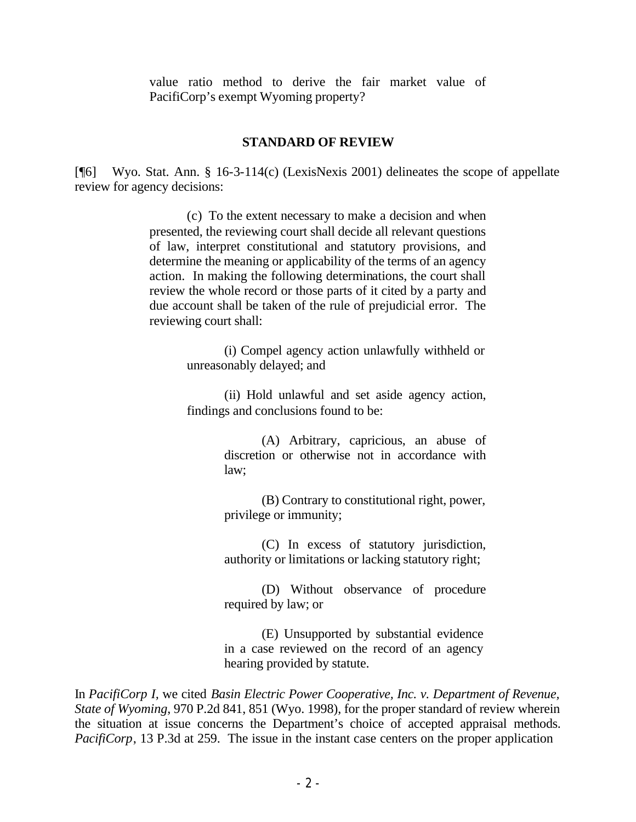value ratio method to derive the fair market value of PacifiCorp's exempt Wyoming property?

### **STANDARD OF REVIEW**

[¶6] Wyo. Stat. Ann. § 16-3-114(c) (LexisNexis 2001) delineates the scope of appellate review for agency decisions:

> (c) To the extent necessary to make a decision and when presented, the reviewing court shall decide all relevant questions of law, interpret constitutional and statutory provisions, and determine the meaning or applicability of the terms of an agency action. In making the following determinations, the court shall review the whole record or those parts of it cited by a party and due account shall be taken of the rule of prejudicial error. The reviewing court shall:

> > (i) Compel agency action unlawfully withheld or unreasonably delayed; and

> > (ii) Hold unlawful and set aside agency action, findings and conclusions found to be:

> > > (A) Arbitrary, capricious, an abuse of discretion or otherwise not in accordance with law;

> > > (B) Contrary to constitutional right, power, privilege or immunity;

> > > (C) In excess of statutory jurisdiction, authority or limitations or lacking statutory right;

> > > (D) Without observance of procedure required by law; or

> > > (E) Unsupported by substantial evidence in a case reviewed on the record of an agency hearing provided by statute.

In *PacifiCorp I,* we cited *Basin Electric Power Cooperative, Inc. v. Department of Revenue, State of Wyoming*, 970 P.2d 841, 851 (Wyo. 1998), for the proper standard of review wherein the situation at issue concerns the Department's choice of accepted appraisal methods. *PacifiCorp*, 13 P.3d at 259. The issue in the instant case centers on the proper application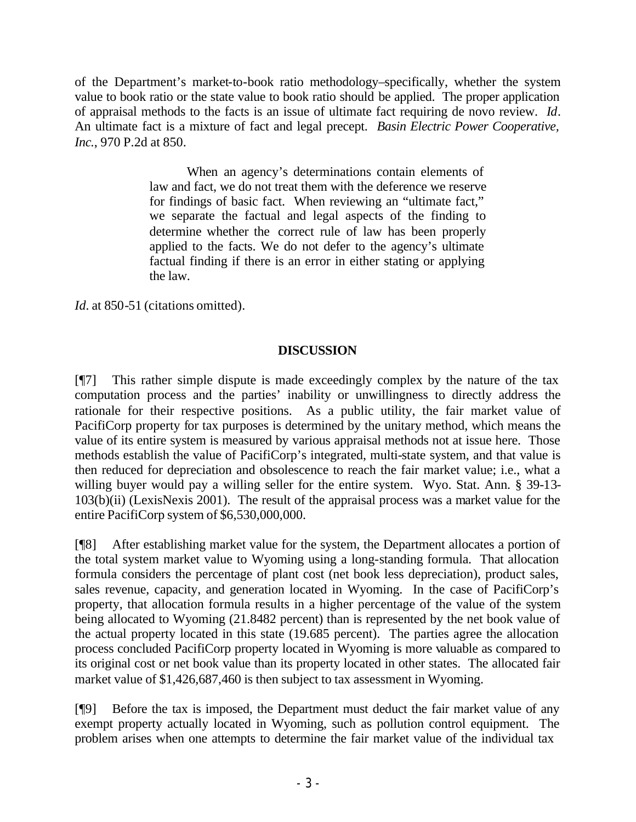of the Department's market-to-book ratio methodology–specifically, whether the system value to book ratio or the state value to book ratio should be applied. The proper application of appraisal methods to the facts is an issue of ultimate fact requiring de novo review. *Id*. An ultimate fact is a mixture of fact and legal precept. *Basin Electric Power Cooperative, Inc.*, 970 P.2d at 850.

> When an agency's determinations contain elements of law and fact, we do not treat them with the deference we reserve for findings of basic fact. When reviewing an "ultimate fact," we separate the factual and legal aspects of the finding to determine whether the correct rule of law has been properly applied to the facts. We do not defer to the agency's ultimate factual finding if there is an error in either stating or applying the law.

*Id.* at 850-51 (citations omitted).

## **DISCUSSION**

[¶7] This rather simple dispute is made exceedingly complex by the nature of the tax computation process and the parties' inability or unwillingness to directly address the rationale for their respective positions. As a public utility, the fair market value of PacifiCorp property for tax purposes is determined by the unitary method, which means the value of its entire system is measured by various appraisal methods not at issue here. Those methods establish the value of PacifiCorp's integrated, multi-state system, and that value is then reduced for depreciation and obsolescence to reach the fair market value; i.e., what a willing buyer would pay a willing seller for the entire system. Wyo. Stat. Ann. § 39-13- 103(b)(ii) (LexisNexis 2001). The result of the appraisal process was a market value for the entire PacifiCorp system of \$6,530,000,000.

[¶8] After establishing market value for the system, the Department allocates a portion of the total system market value to Wyoming using a long-standing formula. That allocation formula considers the percentage of plant cost (net book less depreciation), product sales, sales revenue, capacity, and generation located in Wyoming. In the case of PacifiCorp's property, that allocation formula results in a higher percentage of the value of the system being allocated to Wyoming (21.8482 percent) than is represented by the net book value of the actual property located in this state (19.685 percent). The parties agree the allocation process concluded PacifiCorp property located in Wyoming is more valuable as compared to its original cost or net book value than its property located in other states. The allocated fair market value of \$1,426,687,460 is then subject to tax assessment in Wyoming.

[¶9] Before the tax is imposed, the Department must deduct the fair market value of any exempt property actually located in Wyoming, such as pollution control equipment. The problem arises when one attempts to determine the fair market value of the individual tax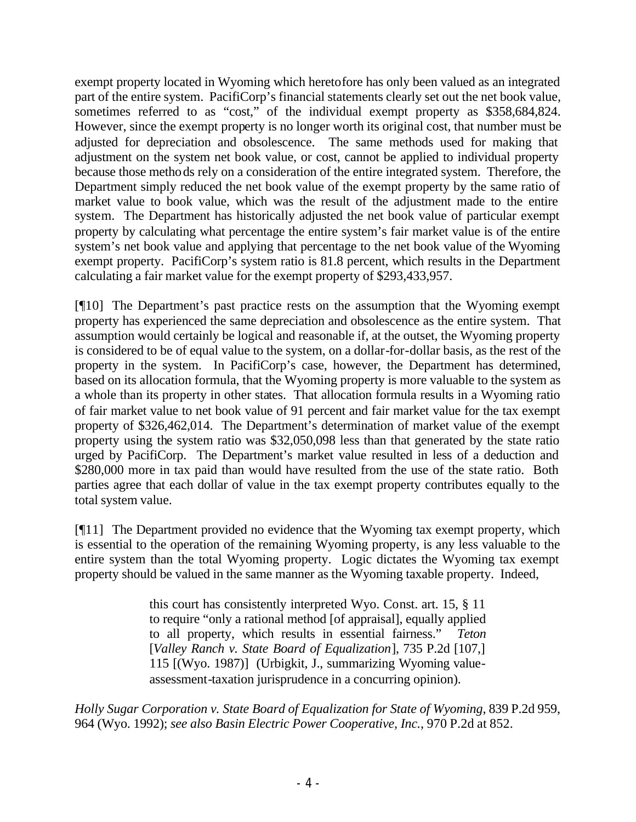exempt property located in Wyoming which heretofore has only been valued as an integrated part of the entire system. PacifiCorp's financial statements clearly set out the net book value, sometimes referred to as "cost," of the individual exempt property as \$358,684,824. However, since the exempt property is no longer worth its original cost, that number must be adjusted for depreciation and obsolescence. The same methods used for making that adjustment on the system net book value, or cost, cannot be applied to individual property because those methods rely on a consideration of the entire integrated system. Therefore, the Department simply reduced the net book value of the exempt property by the same ratio of market value to book value, which was the result of the adjustment made to the entire system. The Department has historically adjusted the net book value of particular exempt property by calculating what percentage the entire system's fair market value is of the entire system's net book value and applying that percentage to the net book value of the Wyoming exempt property. PacifiCorp's system ratio is 81.8 percent, which results in the Department calculating a fair market value for the exempt property of \$293,433,957.

[¶10] The Department's past practice rests on the assumption that the Wyoming exempt property has experienced the same depreciation and obsolescence as the entire system. That assumption would certainly be logical and reasonable if, at the outset, the Wyoming property is considered to be of equal value to the system, on a dollar-for-dollar basis, as the rest of the property in the system. In PacifiCorp's case, however, the Department has determined, based on its allocation formula, that the Wyoming property is more valuable to the system as a whole than its property in other states. That allocation formula results in a Wyoming ratio of fair market value to net book value of 91 percent and fair market value for the tax exempt property of \$326,462,014. The Department's determination of market value of the exempt property using the system ratio was \$32,050,098 less than that generated by the state ratio urged by PacifiCorp. The Department's market value resulted in less of a deduction and \$280,000 more in tax paid than would have resulted from the use of the state ratio. Both parties agree that each dollar of value in the tax exempt property contributes equally to the total system value.

[¶11] The Department provided no evidence that the Wyoming tax exempt property, which is essential to the operation of the remaining Wyoming property, is any less valuable to the entire system than the total Wyoming property. Logic dictates the Wyoming tax exempt property should be valued in the same manner as the Wyoming taxable property. Indeed,

> this court has consistently interpreted Wyo. Const. art. 15, § 11 to require "only a rational method [of appraisal], equally applied to all property, which results in essential fairness." *Teton* [*Valley Ranch v. State Board of Equalization*], 735 P.2d [107,] 115 [(Wyo. 1987)] (Urbigkit, J., summarizing Wyoming valueassessment-taxation jurisprudence in a concurring opinion).

*Holly Sugar Corporation v. State Board of Equalization for State of Wyoming*, 839 P.2d 959, 964 (Wyo. 1992); *see also Basin Electric Power Cooperative, Inc.*, 970 P.2d at 852.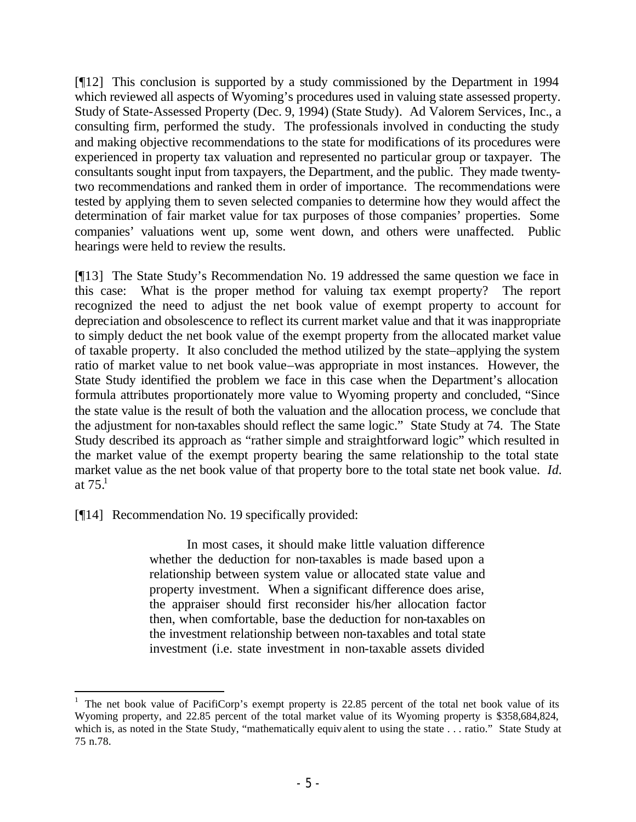[¶12] This conclusion is supported by a study commissioned by the Department in 1994 which reviewed all aspects of Wyoming's procedures used in valuing state assessed property. Study of State-Assessed Property (Dec. 9, 1994) (State Study)*.* Ad Valorem Services, Inc., a consulting firm, performed the study. The professionals involved in conducting the study and making objective recommendations to the state for modifications of its procedures were experienced in property tax valuation and represented no particular group or taxpayer. The consultants sought input from taxpayers, the Department, and the public. They made twentytwo recommendations and ranked them in order of importance. The recommendations were tested by applying them to seven selected companies to determine how they would affect the determination of fair market value for tax purposes of those companies' properties. Some companies' valuations went up, some went down, and others were unaffected. Public hearings were held to review the results.

[¶13] The State Study's Recommendation No. 19 addressed the same question we face in this case: What is the proper method for valuing tax exempt property? The report recognized the need to adjust the net book value of exempt property to account for depreciation and obsolescence to reflect its current market value and that it was inappropriate to simply deduct the net book value of the exempt property from the allocated market value of taxable property. It also concluded the method utilized by the state–applying the system ratio of market value to net book value–was appropriate in most instances. However, the State Study identified the problem we face in this case when the Department's allocation formula attributes proportionately more value to Wyoming property and concluded, "Since the state value is the result of both the valuation and the allocation process, we conclude that the adjustment for non-taxables should reflect the same logic." State Study at 74. The State Study described its approach as "rather simple and straightforward logic" which resulted in the market value of the exempt property bearing the same relationship to the total state market value as the net book value of that property bore to the total state net book value. *Id.* at  $75.1$ 

[¶14] Recommendation No. 19 specifically provided:

In most cases, it should make little valuation difference whether the deduction for non-taxables is made based upon a relationship between system value or allocated state value and property investment. When a significant difference does arise, the appraiser should first reconsider his/her allocation factor then, when comfortable, base the deduction for non-taxables on the investment relationship between non-taxables and total state investment (i.e. state investment in non-taxable assets divided

<sup>&</sup>lt;sup>1</sup> The net book value of PacifiCorp's exempt property is 22.85 percent of the total net book value of its Wyoming property, and 22.85 percent of the total market value of its Wyoming property is \$358,684,824, which is, as noted in the State Study, "mathematically equiv alent to using the state . . . ratio." State Study at 75 n.78.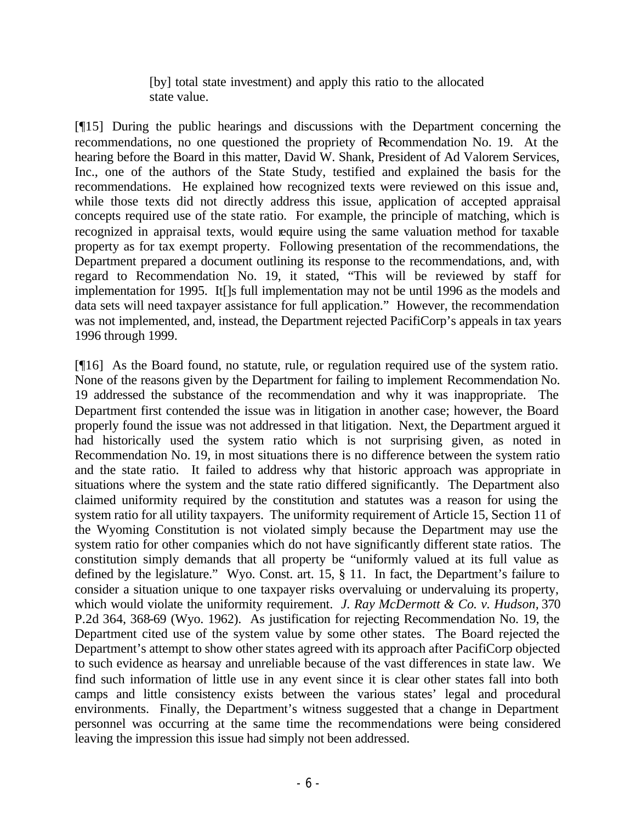[by] total state investment) and apply this ratio to the allocated state value.

[¶15] During the public hearings and discussions with the Department concerning the recommendations, no one questioned the propriety of Recommendation No. 19. At the hearing before the Board in this matter, David W. Shank, President of Ad Valorem Services, Inc., one of the authors of the State Study, testified and explained the basis for the recommendations. He explained how recognized texts were reviewed on this issue and, while those texts did not directly address this issue, application of accepted appraisal concepts required use of the state ratio. For example, the principle of matching, which is recognized in appraisal texts, would require using the same valuation method for taxable property as for tax exempt property. Following presentation of the recommendations, the Department prepared a document outlining its response to the recommendations, and, with regard to Recommendation No. 19, it stated, "This will be reviewed by staff for implementation for 1995. It[]s full implementation may not be until 1996 as the models and data sets will need taxpayer assistance for full application." However, the recommendation was not implemented, and, instead, the Department rejected PacifiCorp's appeals in tax years 1996 through 1999.

[¶16] As the Board found, no statute, rule, or regulation required use of the system ratio. None of the reasons given by the Department for failing to implement Recommendation No. 19 addressed the substance of the recommendation and why it was inappropriate. The Department first contended the issue was in litigation in another case; however, the Board properly found the issue was not addressed in that litigation. Next, the Department argued it had historically used the system ratio which is not surprising given, as noted in Recommendation No. 19, in most situations there is no difference between the system ratio and the state ratio. It failed to address why that historic approach was appropriate in situations where the system and the state ratio differed significantly. The Department also claimed uniformity required by the constitution and statutes was a reason for using the system ratio for all utility taxpayers. The uniformity requirement of Article 15, Section 11 of the Wyoming Constitution is not violated simply because the Department may use the system ratio for other companies which do not have significantly different state ratios. The constitution simply demands that all property be "uniformly valued at its full value as defined by the legislature." Wyo. Const. art. 15, § 11. In fact, the Department's failure to consider a situation unique to one taxpayer risks overvaluing or undervaluing its property, which would violate the uniformity requirement. *J. Ray McDermott & Co. v. Hudson,* 370 P.2d 364, 368-69 (Wyo. 1962). As justification for rejecting Recommendation No. 19, the Department cited use of the system value by some other states. The Board rejected the Department's attempt to show other states agreed with its approach after PacifiCorp objected to such evidence as hearsay and unreliable because of the vast differences in state law. We find such information of little use in any event since it is clear other states fall into both camps and little consistency exists between the various states' legal and procedural environments. Finally, the Department's witness suggested that a change in Department personnel was occurring at the same time the recommendations were being considered leaving the impression this issue had simply not been addressed.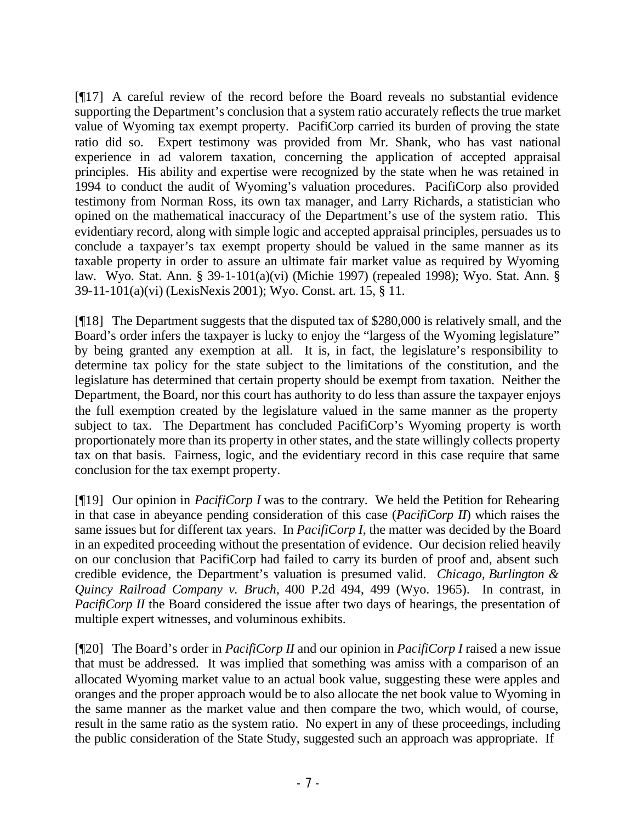[¶17] A careful review of the record before the Board reveals no substantial evidence supporting the Department's conclusion that a system ratio accurately reflects the true market value of Wyoming tax exempt property. PacifiCorp carried its burden of proving the state ratio did so. Expert testimony was provided from Mr. Shank, who has vast national experience in ad valorem taxation, concerning the application of accepted appraisal principles. His ability and expertise were recognized by the state when he was retained in 1994 to conduct the audit of Wyoming's valuation procedures. PacifiCorp also provided testimony from Norman Ross, its own tax manager, and Larry Richards, a statistician who opined on the mathematical inaccuracy of the Department's use of the system ratio. This evidentiary record, along with simple logic and accepted appraisal principles, persuades us to conclude a taxpayer's tax exempt property should be valued in the same manner as its taxable property in order to assure an ultimate fair market value as required by Wyoming law. Wyo. Stat. Ann. § 39-1-101(a)(vi) (Michie 1997) (repealed 1998); Wyo. Stat. Ann. § 39-11-101(a)(vi) (LexisNexis 2001); Wyo. Const. art. 15, § 11.

[¶18] The Department suggests that the disputed tax of \$280,000 is relatively small, and the Board's order infers the taxpayer is lucky to enjoy the "largess of the Wyoming legislature" by being granted any exemption at all. It is, in fact, the legislature's responsibility to determine tax policy for the state subject to the limitations of the constitution, and the legislature has determined that certain property should be exempt from taxation. Neither the Department, the Board, nor this court has authority to do less than assure the taxpayer enjoys the full exemption created by the legislature valued in the same manner as the property subject to tax. The Department has concluded PacifiCorp's Wyoming property is worth proportionately more than its property in other states, and the state willingly collects property tax on that basis. Fairness, logic, and the evidentiary record in this case require that same conclusion for the tax exempt property.

[¶19] Our opinion in *PacifiCorp I* was to the contrary. We held the Petition for Rehearing in that case in abeyance pending consideration of this case (*PacifiCorp II*) which raises the same issues but for different tax years. In *PacifiCorp I*, the matter was decided by the Board in an expedited proceeding without the presentation of evidence. Our decision relied heavily on our conclusion that PacifiCorp had failed to carry its burden of proof and, absent such credible evidence, the Department's valuation is presumed valid. *Chicago, Burlington & Quincy Railroad Company v. Bruch,* 400 P.2d 494, 499 (Wyo. 1965). In contrast, in *PacifiCorp II* the Board considered the issue after two days of hearings, the presentation of multiple expert witnesses, and voluminous exhibits.

[¶20] The Board's order in *PacifiCorp II* and our opinion in *PacifiCorp I* raised a new issue that must be addressed. It was implied that something was amiss with a comparison of an allocated Wyoming market value to an actual book value, suggesting these were apples and oranges and the proper approach would be to also allocate the net book value to Wyoming in the same manner as the market value and then compare the two, which would, of course, result in the same ratio as the system ratio. No expert in any of these proceedings, including the public consideration of the State Study, suggested such an approach was appropriate. If